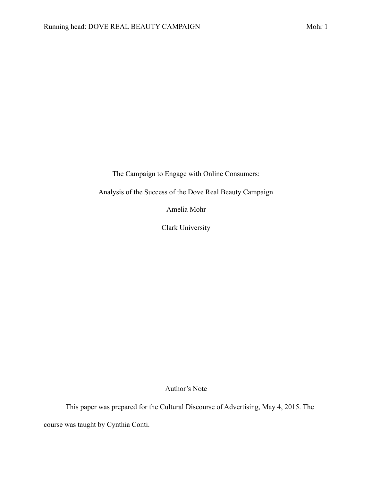The Campaign to Engage with Online Consumers:

Analysis of the Success of the Dove Real Beauty Campaign

Amelia Mohr

Clark University

Author's Note

This paper was prepared for the Cultural Discourse of Advertising, May 4, 2015. The course was taught by Cynthia Conti.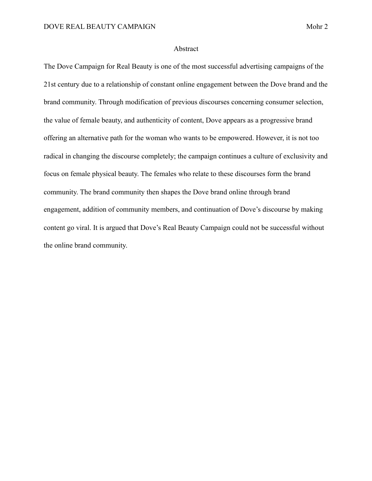#### Abstract

The Dove Campaign for Real Beauty is one of the most successful advertising campaigns of the 21st century due to a relationship of constant online engagement between the Dove brand and the brand community. Through modification of previous discourses concerning consumer selection, the value of female beauty, and authenticity of content, Dove appears as a progressive brand offering an alternative path for the woman who wants to be empowered. However, it is not too radical in changing the discourse completely; the campaign continues a culture of exclusivity and focus on female physical beauty. The females who relate to these discourses form the brand community. The brand community then shapes the Dove brand online through brand engagement, addition of community members, and continuation of Dove's discourse by making content go viral. It is argued that Dove's Real Beauty Campaign could not be successful without the online brand community.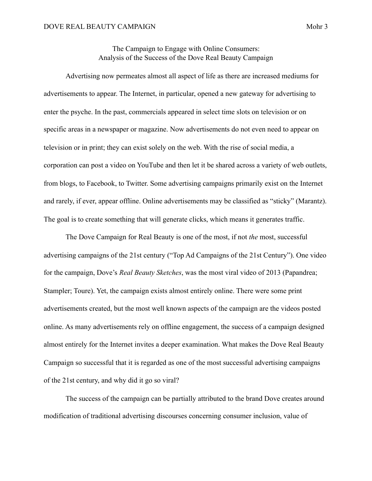The Campaign to Engage with Online Consumers: Analysis of the Success of the Dove Real Beauty Campaign

 Advertising now permeates almost all aspect of life as there are increased mediums for advertisements to appear. The Internet, in particular, opened a new gateway for advertising to enter the psyche. In the past, commercials appeared in select time slots on television or on specific areas in a newspaper or magazine. Now advertisements do not even need to appear on television or in print; they can exist solely on the web. With the rise of social media, a corporation can post a video on YouTube and then let it be shared across a variety of web outlets, from blogs, to Facebook, to Twitter. Some advertising campaigns primarily exist on the Internet and rarely, if ever, appear offline. Online advertisements may be classified as "sticky" (Marantz). The goal is to create something that will generate clicks, which means it generates traffic.

 The Dove Campaign for Real Beauty is one of the most, if not *the* most, successful advertising campaigns of the 21st century ("Top Ad Campaigns of the 21st Century"). One video for the campaign, Dove's *Real Beauty Sketches*, was the most viral video of 2013 (Papandrea; Stampler; Toure). Yet, the campaign exists almost entirely online. There were some print advertisements created, but the most well known aspects of the campaign are the videos posted online. As many advertisements rely on offline engagement, the success of a campaign designed almost entirely for the Internet invites a deeper examination. What makes the Dove Real Beauty Campaign so successful that it is regarded as one of the most successful advertising campaigns of the 21st century, and why did it go so viral?

 The success of the campaign can be partially attributed to the brand Dove creates around modification of traditional advertising discourses concerning consumer inclusion, value of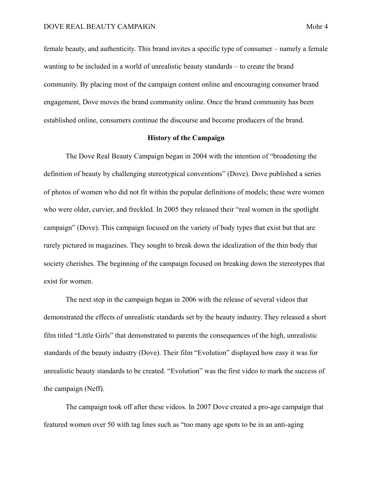female beauty, and authenticity. This brand invites a specific type of consumer – namely a female wanting to be included in a world of unrealistic beauty standards – to create the brand community. By placing most of the campaign content online and encouraging consumer brand engagement, Dove moves the brand community online. Once the brand community has been established online, consumers continue the discourse and become producers of the brand.

### **History of the Campaign**

 The Dove Real Beauty Campaign began in 2004 with the intention of "broadening the definition of beauty by challenging stereotypical conventions" (Dove). Dove published a series of photos of women who did not fit within the popular definitions of models; these were women who were older, curvier, and freckled. In 2005 they released their "real women in the spotlight campaign" (Dove). This campaign focused on the variety of body types that exist but that are rarely pictured in magazines. They sought to break down the idealization of the thin body that society cherishes. The beginning of the campaign focused on breaking down the stereotypes that exist for women.

 The next step in the campaign began in 2006 with the release of several videos that demonstrated the effects of unrealistic standards set by the beauty industry. They released a short film titled "Little Girls" that demonstrated to parents the consequences of the high, unrealistic standards of the beauty industry (Dove). Their film "Evolution" displayed how easy it was for unrealistic beauty standards to be created. "Evolution" was the first video to mark the success of the campaign (Neff).

 The campaign took off after these videos. In 2007 Dove created a pro-age campaign that featured women over 50 with tag lines such as "too many age spots to be in an anti-aging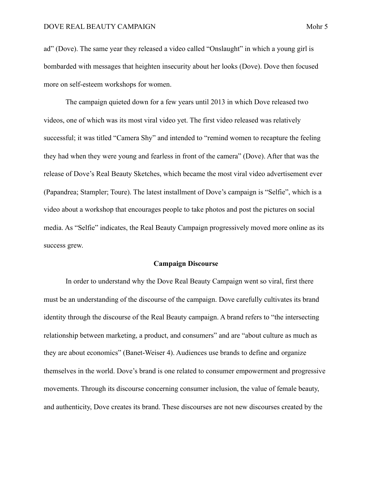ad" (Dove). The same year they released a video called "Onslaught" in which a young girl is bombarded with messages that heighten insecurity about her looks (Dove). Dove then focused more on self-esteem workshops for women.

 The campaign quieted down for a few years until 2013 in which Dove released two videos, one of which was its most viral video yet. The first video released was relatively successful; it was titled "Camera Shy" and intended to "remind women to recapture the feeling they had when they were young and fearless in front of the camera" (Dove). After that was the release of Dove's Real Beauty Sketches, which became the most viral video advertisement ever (Papandrea; Stampler; Toure). The latest installment of Dove's campaign is "Selfie", which is a video about a workshop that encourages people to take photos and post the pictures on social media. As "Selfie" indicates, the Real Beauty Campaign progressively moved more online as its success grew.

# **Campaign Discourse**

 In order to understand why the Dove Real Beauty Campaign went so viral, first there must be an understanding of the discourse of the campaign. Dove carefully cultivates its brand identity through the discourse of the Real Beauty campaign. A brand refers to "the intersecting relationship between marketing, a product, and consumers" and are "about culture as much as they are about economics" (Banet-Weiser 4). Audiences use brands to define and organize themselves in the world. Dove's brand is one related to consumer empowerment and progressive movements. Through its discourse concerning consumer inclusion, the value of female beauty, and authenticity, Dove creates its brand. These discourses are not new discourses created by the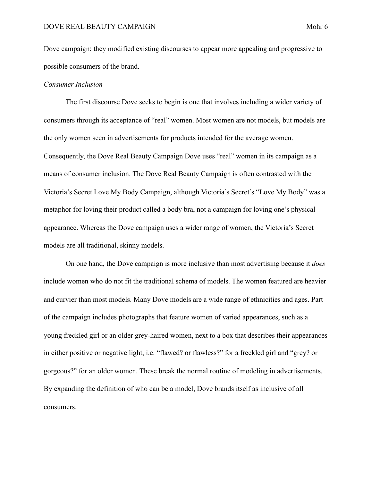Dove campaign; they modified existing discourses to appear more appealing and progressive to possible consumers of the brand.

# *Consumer Inclusion*

 The first discourse Dove seeks to begin is one that involves including a wider variety of consumers through its acceptance of "real" women. Most women are not models, but models are the only women seen in advertisements for products intended for the average women. Consequently, the Dove Real Beauty Campaign Dove uses "real" women in its campaign as a means of consumer inclusion. The Dove Real Beauty Campaign is often contrasted with the Victoria's Secret Love My Body Campaign, although Victoria's Secret's "Love My Body" was a metaphor for loving their product called a body bra, not a campaign for loving one's physical appearance. Whereas the Dove campaign uses a wider range of women, the Victoria's Secret models are all traditional, skinny models.

 On one hand, the Dove campaign is more inclusive than most advertising because it *does*  include women who do not fit the traditional schema of models. The women featured are heavier and curvier than most models. Many Dove models are a wide range of ethnicities and ages. Part of the campaign includes photographs that feature women of varied appearances, such as a young freckled girl or an older grey-haired women, next to a box that describes their appearances in either positive or negative light, i.e. "flawed? or flawless?" for a freckled girl and "grey? or gorgeous?" for an older women. These break the normal routine of modeling in advertisements. By expanding the definition of who can be a model, Dove brands itself as inclusive of all consumers.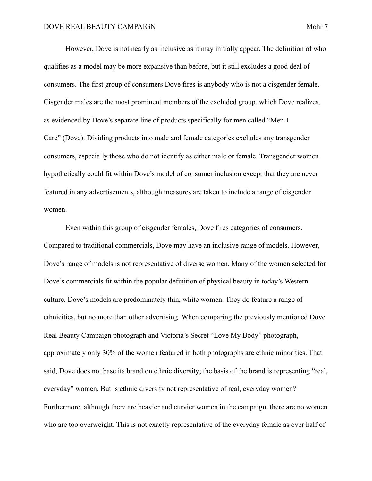However, Dove is not nearly as inclusive as it may initially appear. The definition of who qualifies as a model may be more expansive than before, but it still excludes a good deal of consumers. The first group of consumers Dove fires is anybody who is not a cisgender female. Cisgender males are the most prominent members of the excluded group, which Dove realizes, as evidenced by Dove's separate line of products specifically for men called "Men + Care" (Dove). Dividing products into male and female categories excludes any transgender consumers, especially those who do not identify as either male or female. Transgender women hypothetically could fit within Dove's model of consumer inclusion except that they are never featured in any advertisements, although measures are taken to include a range of cisgender women.

 Even within this group of cisgender females, Dove fires categories of consumers. Compared to traditional commercials, Dove may have an inclusive range of models. However, Dove's range of models is not representative of diverse women. Many of the women selected for Dove's commercials fit within the popular definition of physical beauty in today's Western culture. Dove's models are predominately thin, white women. They do feature a range of ethnicities, but no more than other advertising. When comparing the previously mentioned Dove Real Beauty Campaign photograph and Victoria's Secret "Love My Body" photograph, approximately only 30% of the women featured in both photographs are ethnic minorities. That said, Dove does not base its brand on ethnic diversity; the basis of the brand is representing "real, everyday" women. But is ethnic diversity not representative of real, everyday women? Furthermore, although there are heavier and curvier women in the campaign, there are no women who are too overweight. This is not exactly representative of the everyday female as over half of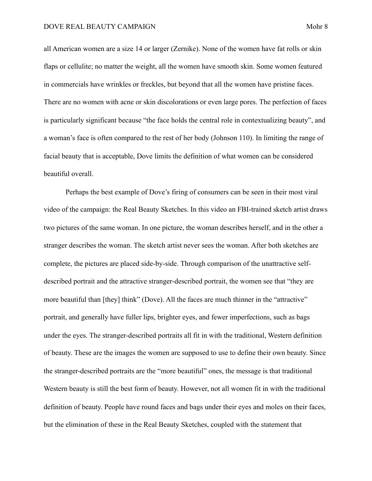all American women are a size 14 or larger (Zernike). None of the women have fat rolls or skin flaps or cellulite; no matter the weight, all the women have smooth skin. Some women featured in commercials have wrinkles or freckles, but beyond that all the women have pristine faces. There are no women with acne or skin discolorations or even large pores. The perfection of faces is particularly significant because "the face holds the central role in contextualizing beauty", and a woman's face is often compared to the rest of her body (Johnson 110). In limiting the range of facial beauty that is acceptable, Dove limits the definition of what women can be considered beautiful overall.

 Perhaps the best example of Dove's firing of consumers can be seen in their most viral video of the campaign: the Real Beauty Sketches. In this video an FBI-trained sketch artist draws two pictures of the same woman. In one picture, the woman describes herself, and in the other a stranger describes the woman. The sketch artist never sees the woman. After both sketches are complete, the pictures are placed side-by-side. Through comparison of the unattractive selfdescribed portrait and the attractive stranger-described portrait, the women see that "they are more beautiful than [they] think" (Dove). All the faces are much thinner in the "attractive" portrait, and generally have fuller lips, brighter eyes, and fewer imperfections, such as bags under the eyes. The stranger-described portraits all fit in with the traditional, Western definition of beauty. These are the images the women are supposed to use to define their own beauty. Since the stranger-described portraits are the "more beautiful" ones, the message is that traditional Western beauty is still the best form of beauty. However, not all women fit in with the traditional definition of beauty. People have round faces and bags under their eyes and moles on their faces, but the elimination of these in the Real Beauty Sketches, coupled with the statement that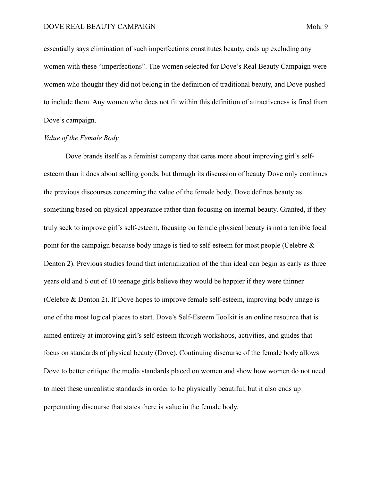essentially says elimination of such imperfections constitutes beauty, ends up excluding any women with these "imperfections". The women selected for Dove's Real Beauty Campaign were women who thought they did not belong in the definition of traditional beauty, and Dove pushed to include them. Any women who does not fit within this definition of attractiveness is fired from Dove's campaign.

### *Value of the Female Body*

 Dove brands itself as a feminist company that cares more about improving girl's selfesteem than it does about selling goods, but through its discussion of beauty Dove only continues the previous discourses concerning the value of the female body. Dove defines beauty as something based on physical appearance rather than focusing on internal beauty. Granted, if they truly seek to improve girl's self-esteem, focusing on female physical beauty is not a terrible focal point for the campaign because body image is tied to self-esteem for most people (Celebre & Denton 2). Previous studies found that internalization of the thin ideal can begin as early as three years old and 6 out of 10 teenage girls believe they would be happier if they were thinner (Celebre & Denton 2). If Dove hopes to improve female self-esteem, improving body image is one of the most logical places to start. Dove's Self-Esteem Toolkit is an online resource that is aimed entirely at improving girl's self-esteem through workshops, activities, and guides that focus on standards of physical beauty (Dove). Continuing discourse of the female body allows Dove to better critique the media standards placed on women and show how women do not need to meet these unrealistic standards in order to be physically beautiful, but it also ends up perpetuating discourse that states there is value in the female body.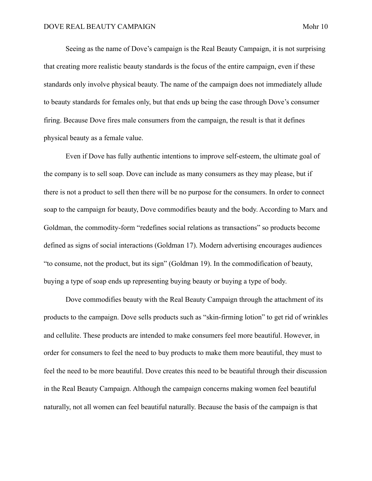Seeing as the name of Dove's campaign is the Real Beauty Campaign, it is not surprising that creating more realistic beauty standards is the focus of the entire campaign, even if these standards only involve physical beauty. The name of the campaign does not immediately allude to beauty standards for females only, but that ends up being the case through Dove's consumer firing. Because Dove fires male consumers from the campaign, the result is that it defines physical beauty as a female value.

 Even if Dove has fully authentic intentions to improve self-esteem, the ultimate goal of the company is to sell soap. Dove can include as many consumers as they may please, but if there is not a product to sell then there will be no purpose for the consumers. In order to connect soap to the campaign for beauty, Dove commodifies beauty and the body. According to Marx and Goldman, the commodity-form "redefines social relations as transactions" so products become defined as signs of social interactions (Goldman 17). Modern advertising encourages audiences "to consume, not the product, but its sign" (Goldman 19). In the commodification of beauty, buying a type of soap ends up representing buying beauty or buying a type of body.

 Dove commodifies beauty with the Real Beauty Campaign through the attachment of its products to the campaign. Dove sells products such as "skin-firming lotion" to get rid of wrinkles and cellulite. These products are intended to make consumers feel more beautiful. However, in order for consumers to feel the need to buy products to make them more beautiful, they must to feel the need to be more beautiful. Dove creates this need to be beautiful through their discussion in the Real Beauty Campaign. Although the campaign concerns making women feel beautiful naturally, not all women can feel beautiful naturally. Because the basis of the campaign is that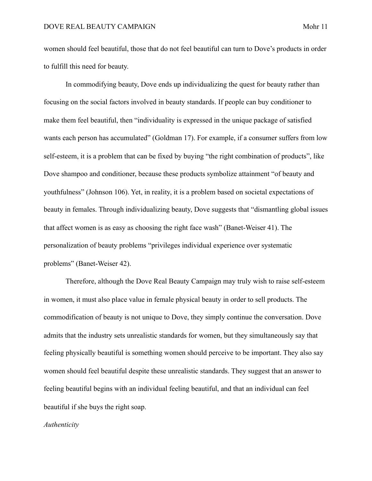women should feel beautiful, those that do not feel beautiful can turn to Dove's products in order to fulfill this need for beauty.

 In commodifying beauty, Dove ends up individualizing the quest for beauty rather than focusing on the social factors involved in beauty standards. If people can buy conditioner to make them feel beautiful, then "individuality is expressed in the unique package of satisfied wants each person has accumulated" (Goldman 17). For example, if a consumer suffers from low self-esteem, it is a problem that can be fixed by buying "the right combination of products", like Dove shampoo and conditioner, because these products symbolize attainment "of beauty and youthfulness" (Johnson 106). Yet, in reality, it is a problem based on societal expectations of beauty in females. Through individualizing beauty, Dove suggests that "dismantling global issues that affect women is as easy as choosing the right face wash" (Banet-Weiser 41). The personalization of beauty problems "privileges individual experience over systematic problems" (Banet-Weiser 42).

 Therefore, although the Dove Real Beauty Campaign may truly wish to raise self-esteem in women, it must also place value in female physical beauty in order to sell products. The commodification of beauty is not unique to Dove, they simply continue the conversation. Dove admits that the industry sets unrealistic standards for women, but they simultaneously say that feeling physically beautiful is something women should perceive to be important. They also say women should feel beautiful despite these unrealistic standards. They suggest that an answer to feeling beautiful begins with an individual feeling beautiful, and that an individual can feel beautiful if she buys the right soap.

#### *Authenticity*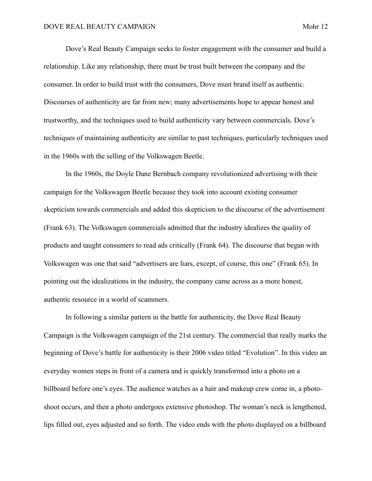Dove's Real Beauty Campaign seeks to foster engagement with the consumer and build a relationship. Like any relationship, there must be trust built between the company and the consumer. In order to build trust with the consumers, Dove must brand itself as authentic. Discourses of authenticity are far from new; many advertisements hope to appear honest and trustworthy, and the techniques used to build authenticity vary between commercials. Dove's techniques of maintaining authenticity are similar to past techniques, particularly techniques used in the 1960s with the selling of the Volkswagen Beetle.

 In the 1960s, the Doyle Dane Bernbach company revolutionized advertising with their campaign for the Volkswagen Beetle because they took into account existing consumer skepticism towards commercials and added this skepticism to the discourse of the advertisement (Frank 63). The Volkswagen commercials admitted that the industry idealizes the quality of products and taught consumers to read ads critically (Frank 64). The discourse that began with Volkswagen was one that said "advertisers are liars, except, of course, this one" (Frank 65). In pointing out the idealizations in the industry, the company came across as a more honest, authentic resource in a world of scammers.

 In following a similar pattern in the battle for authenticity, the Dove Real Beauty Campaign is the Volkswagen campaign of the 21st century. The commercial that really marks the beginning of Dove's battle for authenticity is their 2006 video titled "Evolution". In this video an everyday women steps in front of a camera and is quickly transformed into a photo on a billboard before one's eyes. The audience watches as a hair and makeup crew come in, a photoshoot occurs, and then a photo undergoes extensive photoshop. The woman's neck is lengthened, lips filled out, eyes adjusted and so forth. The video ends with the photo displayed on a billboard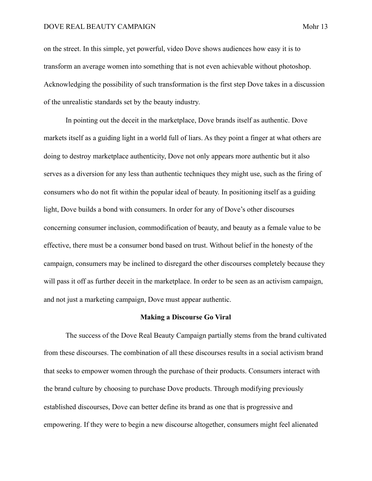## DOVE REAL BEAUTY CAMPAIGN Mohr 13

on the street. In this simple, yet powerful, video Dove shows audiences how easy it is to transform an average women into something that is not even achievable without photoshop. Acknowledging the possibility of such transformation is the first step Dove takes in a discussion of the unrealistic standards set by the beauty industry.

 In pointing out the deceit in the marketplace, Dove brands itself as authentic. Dove markets itself as a guiding light in a world full of liars. As they point a finger at what others are doing to destroy marketplace authenticity, Dove not only appears more authentic but it also serves as a diversion for any less than authentic techniques they might use, such as the firing of consumers who do not fit within the popular ideal of beauty. In positioning itself as a guiding light, Dove builds a bond with consumers. In order for any of Dove's other discourses concerning consumer inclusion, commodification of beauty, and beauty as a female value to be effective, there must be a consumer bond based on trust. Without belief in the honesty of the campaign, consumers may be inclined to disregard the other discourses completely because they will pass it off as further deceit in the marketplace. In order to be seen as an activism campaign, and not just a marketing campaign, Dove must appear authentic.

## **Making a Discourse Go Viral**

 The success of the Dove Real Beauty Campaign partially stems from the brand cultivated from these discourses. The combination of all these discourses results in a social activism brand that seeks to empower women through the purchase of their products. Consumers interact with the brand culture by choosing to purchase Dove products. Through modifying previously established discourses, Dove can better define its brand as one that is progressive and empowering. If they were to begin a new discourse altogether, consumers might feel alienated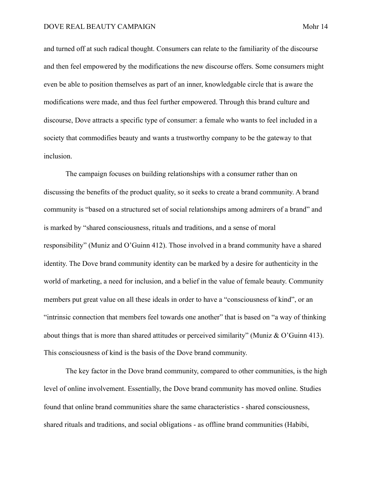and turned off at such radical thought. Consumers can relate to the familiarity of the discourse and then feel empowered by the modifications the new discourse offers. Some consumers might even be able to position themselves as part of an inner, knowledgable circle that is aware the modifications were made, and thus feel further empowered. Through this brand culture and discourse, Dove attracts a specific type of consumer: a female who wants to feel included in a society that commodifies beauty and wants a trustworthy company to be the gateway to that inclusion.

 The campaign focuses on building relationships with a consumer rather than on discussing the benefits of the product quality, so it seeks to create a brand community. A brand community is "based on a structured set of social relationships among admirers of a brand" and is marked by "shared consciousness, rituals and traditions, and a sense of moral responsibility" (Muniz and O'Guinn 412). Those involved in a brand community have a shared identity. The Dove brand community identity can be marked by a desire for authenticity in the world of marketing, a need for inclusion, and a belief in the value of female beauty. Community members put great value on all these ideals in order to have a "consciousness of kind", or an "intrinsic connection that members feel towards one another" that is based on "a way of thinking about things that is more than shared attitudes or perceived similarity" (Muniz & O'Guinn 413). This consciousness of kind is the basis of the Dove brand community.

 The key factor in the Dove brand community, compared to other communities, is the high level of online involvement. Essentially, the Dove brand community has moved online. Studies found that online brand communities share the same characteristics - shared consciousness, shared rituals and traditions, and social obligations - as offline brand communities (Habibi,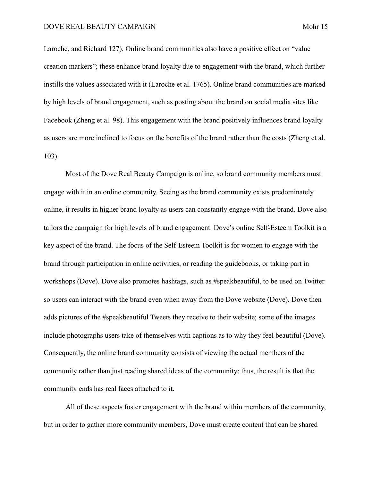Laroche, and Richard 127). Online brand communities also have a positive effect on "value creation markers"; these enhance brand loyalty due to engagement with the brand, which further instills the values associated with it (Laroche et al. 1765). Online brand communities are marked by high levels of brand engagement, such as posting about the brand on social media sites like Facebook (Zheng et al. 98). This engagement with the brand positively influences brand loyalty as users are more inclined to focus on the benefits of the brand rather than the costs (Zheng et al. 103).

 Most of the Dove Real Beauty Campaign is online, so brand community members must engage with it in an online community. Seeing as the brand community exists predominately online, it results in higher brand loyalty as users can constantly engage with the brand. Dove also tailors the campaign for high levels of brand engagement. Dove's online Self-Esteem Toolkit is a key aspect of the brand. The focus of the Self-Esteem Toolkit is for women to engage with the brand through participation in online activities, or reading the guidebooks, or taking part in workshops (Dove). Dove also promotes hashtags, such as #speakbeautiful, to be used on Twitter so users can interact with the brand even when away from the Dove website (Dove). Dove then adds pictures of the #speakbeautiful Tweets they receive to their website; some of the images include photographs users take of themselves with captions as to why they feel beautiful (Dove). Consequently, the online brand community consists of viewing the actual members of the community rather than just reading shared ideas of the community; thus, the result is that the community ends has real faces attached to it.

 All of these aspects foster engagement with the brand within members of the community, but in order to gather more community members, Dove must create content that can be shared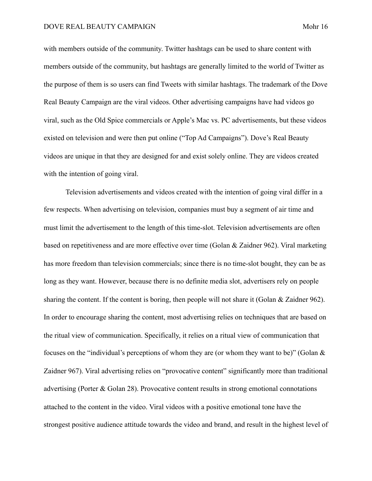with members outside of the community. Twitter hashtags can be used to share content with members outside of the community, but hashtags are generally limited to the world of Twitter as the purpose of them is so users can find Tweets with similar hashtags. The trademark of the Dove Real Beauty Campaign are the viral videos. Other advertising campaigns have had videos go viral, such as the Old Spice commercials or Apple's Mac vs. PC advertisements, but these videos existed on television and were then put online ("Top Ad Campaigns"). Dove's Real Beauty videos are unique in that they are designed for and exist solely online. They are videos created with the intention of going viral.

 Television advertisements and videos created with the intention of going viral differ in a few respects. When advertising on television, companies must buy a segment of air time and must limit the advertisement to the length of this time-slot. Television advertisements are often based on repetitiveness and are more effective over time (Golan & Zaidner 962). Viral marketing has more freedom than television commercials; since there is no time-slot bought, they can be as long as they want. However, because there is no definite media slot, advertisers rely on people sharing the content. If the content is boring, then people will not share it (Golan & Zaidner 962). In order to encourage sharing the content, most advertising relies on techniques that are based on the ritual view of communication. Specifically, it relies on a ritual view of communication that focuses on the "individual's perceptions of whom they are (or whom they want to be)" (Golan & Zaidner 967). Viral advertising relies on "provocative content" significantly more than traditional advertising (Porter & Golan 28). Provocative content results in strong emotional connotations attached to the content in the video. Viral videos with a positive emotional tone have the strongest positive audience attitude towards the video and brand, and result in the highest level of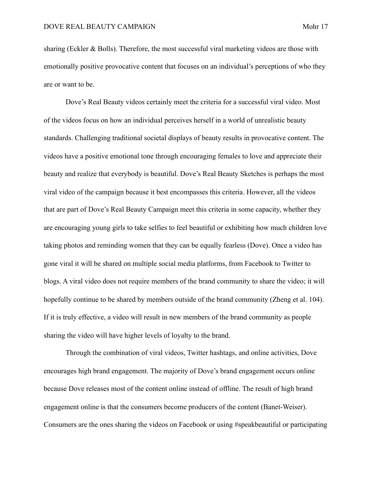sharing (Eckler & Bolls). Therefore, the most successful viral marketing videos are those with emotionally positive provocative content that focuses on an individual's perceptions of who they are or want to be.

 Dove's Real Beauty videos certainly meet the criteria for a successful viral video. Most of the videos focus on how an individual perceives herself in a world of unrealistic beauty standards. Challenging traditional societal displays of beauty results in provocative content. The videos have a positive emotional tone through encouraging females to love and appreciate their beauty and realize that everybody is beautiful. Dove's Real Beauty Sketches is perhaps the most viral video of the campaign because it best encompasses this criteria. However, all the videos that are part of Dove's Real Beauty Campaign meet this criteria in some capacity, whether they are encouraging young girls to take selfies to feel beautiful or exhibiting how much children love taking photos and reminding women that they can be equally fearless (Dove). Once a video has gone viral it will be shared on multiple social media platforms, from Facebook to Twitter to blogs. A viral video does not require members of the brand community to share the video; it will hopefully continue to be shared by members outside of the brand community (Zheng et al. 104). If it is truly effective, a video will result in new members of the brand community as people sharing the video will have higher levels of loyalty to the brand.

 Through the combination of viral videos, Twitter hashtags, and online activities, Dove encourages high brand engagement. The majority of Dove's brand engagement occurs online because Dove releases most of the content online instead of offline. The result of high brand engagement online is that the consumers become producers of the content (Banet-Weiser). Consumers are the ones sharing the videos on Facebook or using #speakbeautiful or participating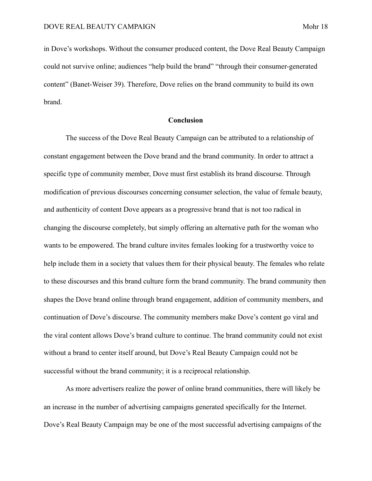in Dove's workshops. Without the consumer produced content, the Dove Real Beauty Campaign could not survive online; audiences "help build the brand" "through their consumer-generated content" (Banet-Weiser 39). Therefore, Dove relies on the brand community to build its own brand.

### **Conclusion**

 The success of the Dove Real Beauty Campaign can be attributed to a relationship of constant engagement between the Dove brand and the brand community. In order to attract a specific type of community member, Dove must first establish its brand discourse. Through modification of previous discourses concerning consumer selection, the value of female beauty, and authenticity of content Dove appears as a progressive brand that is not too radical in changing the discourse completely, but simply offering an alternative path for the woman who wants to be empowered. The brand culture invites females looking for a trustworthy voice to help include them in a society that values them for their physical beauty. The females who relate to these discourses and this brand culture form the brand community. The brand community then shapes the Dove brand online through brand engagement, addition of community members, and continuation of Dove's discourse. The community members make Dove's content go viral and the viral content allows Dove's brand culture to continue. The brand community could not exist without a brand to center itself around, but Dove's Real Beauty Campaign could not be successful without the brand community; it is a reciprocal relationship.

 As more advertisers realize the power of online brand communities, there will likely be an increase in the number of advertising campaigns generated specifically for the Internet. Dove's Real Beauty Campaign may be one of the most successful advertising campaigns of the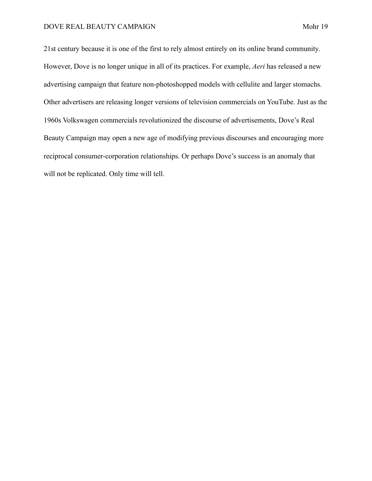21st century because it is one of the first to rely almost entirely on its online brand community. However, Dove is no longer unique in all of its practices. For example, *Aeri* has released a new advertising campaign that feature non-photoshopped models with cellulite and larger stomachs. Other advertisers are releasing longer versions of television commercials on YouTube. Just as the 1960s Volkswagen commercials revolutionized the discourse of advertisements, Dove's Real Beauty Campaign may open a new age of modifying previous discourses and encouraging more reciprocal consumer-corporation relationships. Or perhaps Dove's success is an anomaly that will not be replicated. Only time will tell.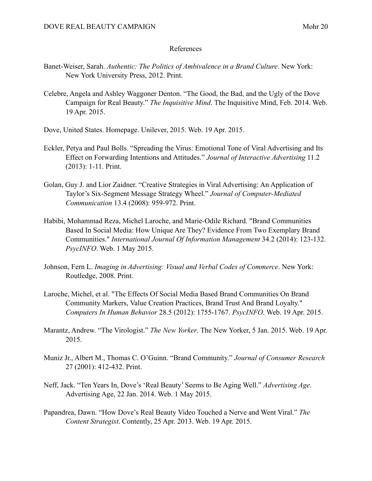# References

- Banet-Weiser, Sarah. *Authentic: The Politics of Ambivalence in a Brand Culture*. New York: New York University Press, 2012. Print.
- Celebre, Angela and Ashley Waggoner Denton. "The Good, the Bad, and the Ugly of the Dove Campaign for Real Beauty." *The Inquisitive Mind*. The Inquisitive Mind, Feb. 2014. Web. 19 Apr. 2015.
- Dove, United States. Homepage. Unilever, 2015. Web. 19 Apr. 2015.
- Eckler, Petya and Paul Bolls. "Spreading the Virus: Emotional Tone of Viral Advertising and Its Effect on Forwarding Intentions and Attitudes." *Journal of Interactive Advertising* 11.2 (2013): 1-11. Print.
- Golan, Guy J. and Lior Zaidner. "Creative Strategies in Viral Advertising: An Application of Taylor's Six-Segment Message Strategy Wheel." *Journal of Computer-Mediated Communication* 13.4 (2008): 959-972. Print.
- Habibi, Mohammad Reza, Michel Laroche, and Marie-Odile Richard. "Brand Communities Based In Social Media: How Unique Are They? Evidence From Two Exemplary Brand Communities." *International Journal Of Information Management* 34.2 (2014): 123-132. *PsycINFO*. Web. 1 May 2015.
- Johnson, Fern L. *Imaging in Advertising: Visual and Verbal Codes of Commerce*. New York: Routledge, 2008. Print.
- Laroche, Michel, et al. "The Effects Of Social Media Based Brand Communities On Brand Community Markers, Value Creation Practices, Brand Trust And Brand Loyalty." *Computers In Human Behavior* 28.5 (2012): 1755-1767. *PsycINFO*. Web. 19 Apr. 2015.
- Marantz, Andrew. "The Virologist." *The New Yorker*. The New Yorker, 5 Jan. 2015. Web. 19 Apr. 2015.
- Muniz Jr., Albert M., Thomas C. O'Guinn. "Brand Community." *Journal of Consumer Research* 27 (2001): 412-432. Print.
- Neff, Jack. "Ten Years In, Dove's 'Real Beauty' Seems to Be Aging Well." *Advertising Age*. Advertising Age, 22 Jan. 2014. Web. 1 May 2015.
- Papandrea, Dawn. "How Dove's Real Beauty Video Touched a Nerve and Went Viral." *The Content Strategist*. Contently, 25 Apr. 2013. Web. 19 Apr. 2015.